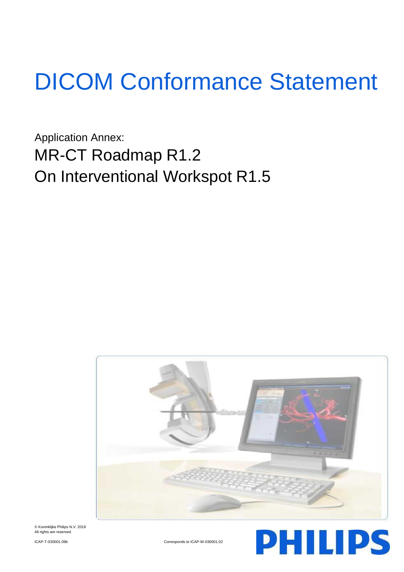# DICOM Conformance Statement

Application Annex: MR-CT Roadmap R1.2 On Interventional Workspot R1.5



© Koninklijke Philips N.V. 2018 All rights are reserved

ICAP-T-030001.09b Corresponds to ICAP-W-030001.02

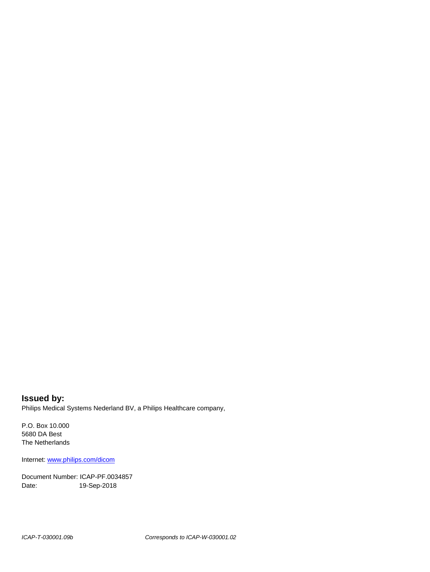**Issued by:** Philips Medical Systems Nederland BV, a Philips Healthcare company,

P.O. Box 10.000 5680 DA Best The Netherlands

Internet[: www.philips.com/dicom](http://www.philips.com/dicom)

Document Number: ICAP-PF.0034857 Date: 19-Sep-2018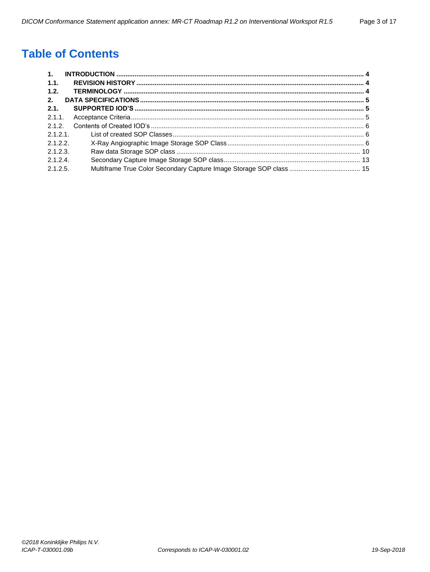# **Table of Contents**

| $\mathbf{1}$ . |  |
|----------------|--|
| 1.1.           |  |
| 1.2.           |  |
| 2.             |  |
| 2.1.           |  |
| $2.1.1$ .      |  |
| 2.1.2.         |  |
| 2.1.2.1        |  |
| 2.1.2.2.       |  |
| 2.1.2.3        |  |
| 2.1.2.4        |  |
| 2.1.2.5.       |  |
|                |  |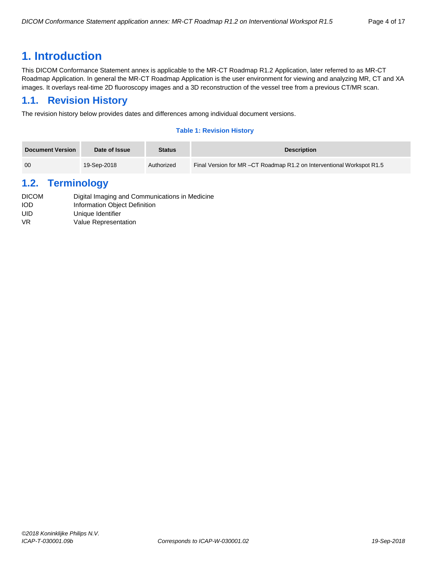## <span id="page-3-0"></span>**1. Introduction**

This DICOM Conformance Statement annex is applicable to the MR-CT Roadmap R1.2 Application, later referred to as MR-CT Roadmap Application. In general the MR-CT Roadmap Application is the user environment for viewing and analyzing MR, CT and XA images. It overlays real-time 2D fluoroscopy images and a 3D reconstruction of the vessel tree from a previous CT/MR scan.

## <span id="page-3-1"></span>**1.1. Revision History**

The revision history below provides dates and differences among individual document versions.

#### **Table 1: Revision History**

| Document Version | Date of Issue | <b>Status</b> | <b>Description</b>                                                     |
|------------------|---------------|---------------|------------------------------------------------------------------------|
| 00               | 19-Sep-2018   | Authorized    | Final Version for MR – CT Roadmap R1.2 on Interventional Workspot R1.5 |

## <span id="page-3-2"></span>**1.2. Terminology**

| <b>DICOM</b> | Digital Imaging and Communications in Medicine |
|--------------|------------------------------------------------|
| <b>IOD</b>   | Information Object Definition                  |
| UID          | Unique Identifier                              |
| VR.          | Value Representation                           |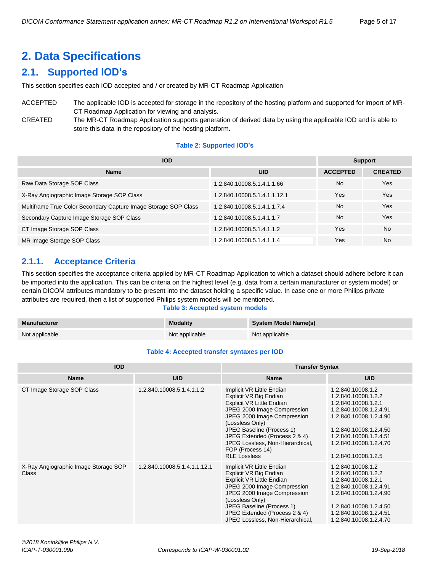# <span id="page-4-0"></span>**2. Data Specifications**

## <span id="page-4-1"></span>**2.1. Supported IOD's**

This section specifies each IOD accepted and / or created by MR-CT Roadmap Application

## ACCEPTED The applicable IOD is accepted for storage in the repository of the hosting platform and supported for import of MR-CT Roadmap Application for viewing and analysis.

CREATED The MR-CT Roadmap Application supports generation of derived data by using the applicable IOD and is able to store this data in the repository of the hosting platform.

#### **Table 2: Supported IOD's**

| <b>IOD</b>                                                      | <b>Support</b>               |                 |                |
|-----------------------------------------------------------------|------------------------------|-----------------|----------------|
| <b>Name</b>                                                     | <b>UID</b>                   | <b>ACCEPTED</b> | <b>CREATED</b> |
| Raw Data Storage SOP Class                                      | 1.2.840.10008.5.1.4.1.1.66   | <b>No</b>       | Yes            |
| X-Ray Angiographic Image Storage SOP Class                      | 1.2.840.10008.5.1.4.1.1.12.1 | Yes             | Yes            |
| Multiframe True Color Secondary Capture Image Storage SOP Class | 1.2.840.10008.5.1.4.1.1.7.4  | <b>No</b>       | Yes            |
| Secondary Capture Image Storage SOP Class                       | 1.2.840.10008.5.1.4.1.1.7    | <b>No</b>       | Yes            |
| CT Image Storage SOP Class                                      | 1.2.840.10008.5.1.4.1.1.2    | Yes             | <b>No</b>      |
| MR Image Storage SOP Class                                      | 1.2.840.10008.5.1.4.1.1.4    | Yes             | <b>No</b>      |

## <span id="page-4-2"></span>**2.1.1. Acceptance Criteria**

This section specifies the acceptance criteria applied by MR-CT Roadmap Application to which a dataset should adhere before it can be imported into the application. This can be criteria on the highest level (e.g. data from a certain manufacturer or system model) or certain DICOM attributes mandatory to be present into the dataset holding a specific value. In case one or more Philips private attributes are required, then a list of supported Philips system models will be mentioned.

#### **Table 3: Accepted system models**

| Manufacturer   | <b>Modality</b> | System Model Name(s) |
|----------------|-----------------|----------------------|
| Not applicable | Not applicable  | Not applicable       |

#### **Table 4: Accepted transfer syntaxes per IOD**

| <b>IOD</b>                                           |                              | <b>Transfer Syntax</b>                                                                                                                                                                                                                                                                                                |                                                                                                                                                                                                                          |  |
|------------------------------------------------------|------------------------------|-----------------------------------------------------------------------------------------------------------------------------------------------------------------------------------------------------------------------------------------------------------------------------------------------------------------------|--------------------------------------------------------------------------------------------------------------------------------------------------------------------------------------------------------------------------|--|
| <b>Name</b>                                          | <b>UID</b>                   | <b>Name</b>                                                                                                                                                                                                                                                                                                           | <b>UID</b>                                                                                                                                                                                                               |  |
| CT Image Storage SOP Class                           | 1.2.840.10008.5.1.4.1.1.2    | Implicit VR Little Endian<br>Explicit VR Big Endian<br><b>Explicit VR Little Endian</b><br>JPEG 2000 Image Compression<br>JPEG 2000 Image Compression<br>(Lossless Only)<br>JPEG Baseline (Process 1)<br>JPEG Extended (Process 2 & 4)<br>JPEG Lossless, Non-Hierarchical,<br>FOP (Process 14)<br><b>RLE Lossless</b> | 1.2.840.10008.1.2<br>1.2.840.10008.1.2.2<br>1.2.840.10008.1.2.1<br>1.2.840.10008.1.2.4.91<br>1.2.840.10008.1.2.4.90<br>1.2.840.10008.1.2.4.50<br>1.2.840.10008.1.2.4.51<br>1.2.840.10008.1.2.4.70<br>1.2.840.10008.1.2.5 |  |
| X-Ray Angiographic Image Storage SOP<br><b>Class</b> | 1.2.840.10008.5.1.4.1.1.12.1 | Implicit VR Little Endian<br>Explicit VR Big Endian<br>Explicit VR Little Endian<br>JPEG 2000 Image Compression<br>JPEG 2000 Image Compression<br>(Lossless Only)<br>JPEG Baseline (Process 1)<br>JPEG Extended (Process 2 & 4)<br>JPEG Lossless, Non-Hierarchical,                                                   | 1.2.840.10008.1.2<br>1.2.840.10008.1.2.2<br>1.2.840.10008.1.2.1<br>1.2.840.10008.1.2.4.91<br>1.2.840.10008.1.2.4.90<br>1.2.840.10008.1.2.4.50<br>1.2.840.10008.1.2.4.51<br>1.2.840.10008.1.2.4.70                        |  |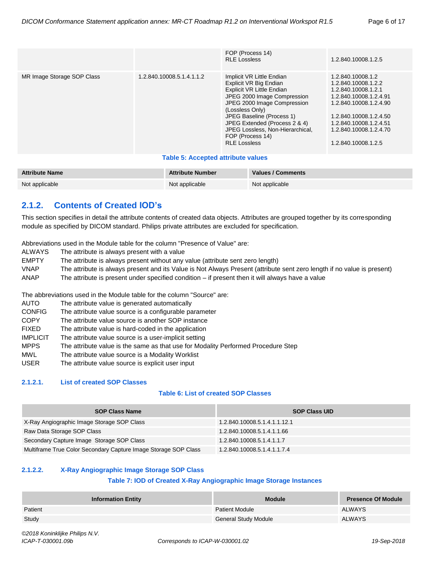|                            |                           | FOP (Process 14)<br><b>RLE Lossless</b>                                                                                                                                                                                                                                                                               | 1.2.840.10008.1.2.5                                                                                                                                                                                                      |
|----------------------------|---------------------------|-----------------------------------------------------------------------------------------------------------------------------------------------------------------------------------------------------------------------------------------------------------------------------------------------------------------------|--------------------------------------------------------------------------------------------------------------------------------------------------------------------------------------------------------------------------|
| MR Image Storage SOP Class | 1.2.840.10008.5.1.4.1.1.2 | Implicit VR Little Endian<br>Explicit VR Big Endian<br><b>Explicit VR Little Endian</b><br>JPEG 2000 Image Compression<br>JPEG 2000 Image Compression<br>(Lossless Only)<br>JPEG Baseline (Process 1)<br>JPEG Extended (Process 2 & 4)<br>JPEG Lossless, Non-Hierarchical,<br>FOP (Process 14)<br><b>RLE Lossless</b> | 1.2.840.10008.1.2<br>1.2.840.10008.1.2.2<br>1.2.840.10008.1.2.1<br>1.2.840.10008.1.2.4.91<br>1.2.840.10008.1.2.4.90<br>1.2.840.10008.1.2.4.50<br>1.2.840.10008.1.2.4.51<br>1.2.840.10008.1.2.4.70<br>1.2.840.10008.1.2.5 |

#### **Table 5: Accepted attribute values**

| <b>Attribute Name</b> | <b>Attribute Number</b> | Values / Comments |
|-----------------------|-------------------------|-------------------|
| Not applicable        | Not applicable          | Not applicable    |

## <span id="page-5-0"></span>**2.1.2. Contents of Created IOD's**

This section specifies in detail the attribute contents of created data objects. Attributes are grouped together by its corresponding module as specified by DICOM standard. Philips private attributes are excluded for specification.

Abbreviations used in the Module table for the column "Presence of Value" are:

- ALWAYS The attribute is always present with a value
- EMPTY The attribute is always present without any value (attribute sent zero length)
- VNAP The attribute is always present and its Value is Not Always Present (attribute sent zero length if no value is present)
- ANAP The attribute is present under specified condition if present then it will always have a value

The abbreviations used in the Module table for the column "Source" are:

- AUTO The attribute value is generated automatically
- CONFIG The attribute value source is a configurable parameter
- COPY The attribute value source is another SOP instance
- FIXED The attribute value is hard-coded in the application
- IMPLICIT The attribute value source is a user-implicit setting
- MPPS The attribute value is the same as that use for Modality Performed Procedure Step
- MWL The attribute value source is a Modality Worklist
- USER The attribute value source is explicit user input

#### <span id="page-5-1"></span>**2.1.2.1. List of created SOP Classes**

#### **Table 6: List of created SOP Classes**

| <b>SOP Class Name</b>                                           | <b>SOP Class UID</b>         |
|-----------------------------------------------------------------|------------------------------|
| X-Ray Angiographic Image Storage SOP Class                      | 1.2.840.10008.5.1.4.1.1.12.1 |
| Raw Data Storage SOP Class                                      | 1.2.840.10008.5.1.4.1.1.66   |
| Secondary Capture Image Storage SOP Class                       | 1.2.840.10008.5.1.4.1.1.7    |
| Multiframe True Color Secondary Capture Image Storage SOP Class | 1.2.840.10008.5.1.4.1.1.7.4  |

#### <span id="page-5-2"></span>**2.1.2.2. X-Ray Angiographic Image Storage SOP Class**

#### **Table 7: IOD of Created X-Ray Angiographic Image Storage Instances**

| <b>Information Entity</b> | <b>Module</b>               | <b>Presence Of Module</b> |
|---------------------------|-----------------------------|---------------------------|
| Patient                   | <b>Patient Module</b>       | <b>ALWAYS</b>             |
| Study                     | <b>General Study Module</b> | <b>ALWAYS</b>             |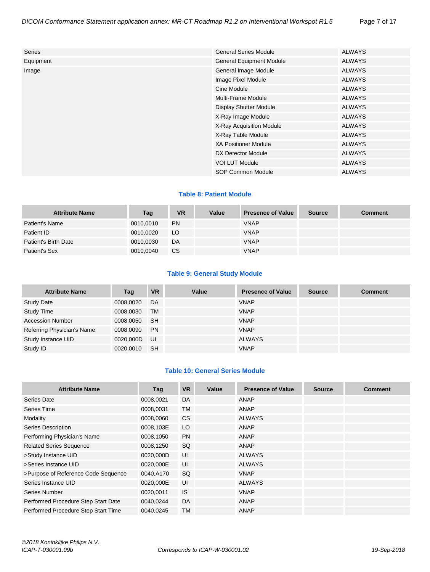| <b>General Series Module</b>    | <b>ALWAYS</b> |
|---------------------------------|---------------|
| <b>General Equipment Module</b> | <b>ALWAYS</b> |
| General Image Module            | <b>ALWAYS</b> |
| Image Pixel Module              | <b>ALWAYS</b> |
| Cine Module                     | <b>ALWAYS</b> |
| Multi-Frame Module              | <b>ALWAYS</b> |
| <b>Display Shutter Module</b>   | <b>ALWAYS</b> |
| X-Ray Image Module              | <b>ALWAYS</b> |
| X-Ray Acquisition Module        | <b>ALWAYS</b> |
| X-Ray Table Module              | <b>ALWAYS</b> |
| <b>XA Positioner Module</b>     | <b>ALWAYS</b> |
| DX Detector Module              | <b>ALWAYS</b> |
| <b>VOI LUT Module</b>           | <b>ALWAYS</b> |
| SOP Common Module               | <b>ALWAYS</b> |
|                                 |               |

#### **Table 8: Patient Module**

| <b>Attribute Name</b> | Tag       | <b>VR</b> | Value | <b>Presence of Value</b> | <b>Source</b> | <b>Comment</b> |
|-----------------------|-----------|-----------|-------|--------------------------|---------------|----------------|
| Patient's Name        | 0010,0010 | <b>PN</b> |       | <b>VNAP</b>              |               |                |
| Patient ID            | 0010,0020 | LO.       |       | <b>VNAP</b>              |               |                |
| Patient's Birth Date  | 0010,0030 | DA        |       | <b>VNAP</b>              |               |                |
| Patient's Sex         | 0010,0040 | <b>CS</b> |       | <b>VNAP</b>              |               |                |

#### **Table 9: General Study Module**

| <b>Attribute Name</b>      | Tag       | <b>VR</b> | Value | <b>Presence of Value</b> | <b>Source</b> | <b>Comment</b> |
|----------------------------|-----------|-----------|-------|--------------------------|---------------|----------------|
| <b>Study Date</b>          | 0008,0020 | DA        |       | <b>VNAP</b>              |               |                |
| <b>Study Time</b>          | 0008,0030 | <b>TM</b> |       | <b>VNAP</b>              |               |                |
| <b>Accession Number</b>    | 0008,0050 | -SH       |       | <b>VNAP</b>              |               |                |
| Referring Physician's Name | 0008,0090 | <b>PN</b> |       | <b>VNAP</b>              |               |                |
| Study Instance UID         | 0020,000D | - UI      |       | ALWAYS                   |               |                |
| Study ID                   | 0020.0010 | -SH       |       | <b>VNAP</b>              |               |                |

#### **Table 10: General Series Module**

| <b>Attribute Name</b>               | Tag       | <b>VR</b> | Value | <b>Presence of Value</b> | <b>Source</b> | <b>Comment</b> |
|-------------------------------------|-----------|-----------|-------|--------------------------|---------------|----------------|
| Series Date                         | 0008,0021 | DA        |       | <b>ANAP</b>              |               |                |
| Series Time                         | 0008,0031 | <b>TM</b> |       | ANAP                     |               |                |
| Modality                            | 0008,0060 | <b>CS</b> |       | <b>ALWAYS</b>            |               |                |
| <b>Series Description</b>           | 0008,103E | LO        |       | ANAP                     |               |                |
| Performing Physician's Name         | 0008,1050 | <b>PN</b> |       | ANAP                     |               |                |
| <b>Related Series Sequence</b>      | 0008,1250 | SQ        |       | ANAP                     |               |                |
| >Study Instance UID                 | 0020,000D | UI        |       | <b>ALWAYS</b>            |               |                |
| >Series Instance UID                | 0020,000E | UI        |       | <b>ALWAYS</b>            |               |                |
| >Purpose of Reference Code Sequence | 0040,A170 | <b>SQ</b> |       | <b>VNAP</b>              |               |                |
| Series Instance UID                 | 0020,000E | UI        |       | <b>ALWAYS</b>            |               |                |
| Series Number                       | 0020,0011 | <b>IS</b> |       | <b>VNAP</b>              |               |                |
| Performed Procedure Step Start Date | 0040,0244 | <b>DA</b> |       | ANAP                     |               |                |
| Performed Procedure Step Start Time | 0040,0245 | <b>TM</b> |       | ANAP                     |               |                |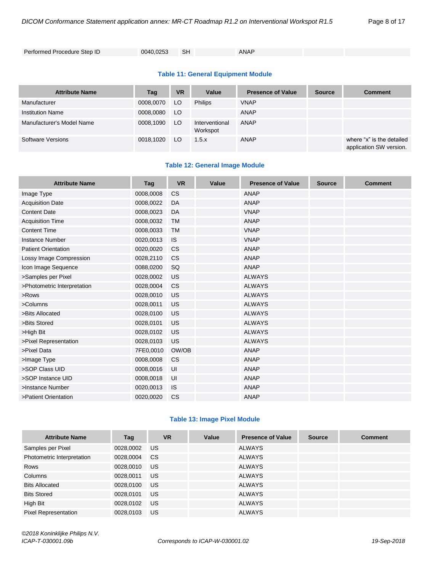```
Performed Procedure Step ID 0040,0253 SH ANAP
```
#### **Table 11: General Equipment Module**

| <b>Attribute Name</b>     | Tag       | <b>VR</b> | Value                      | <b>Presence of Value</b> | <b>Source</b> | <b>Comment</b>                                       |
|---------------------------|-----------|-----------|----------------------------|--------------------------|---------------|------------------------------------------------------|
| Manufacturer              | 0008,0070 | LO.       | <b>Philips</b>             | <b>VNAP</b>              |               |                                                      |
| <b>Institution Name</b>   | 0008,0080 | LO.       |                            | ANAP                     |               |                                                      |
| Manufacturer's Model Name | 0008,1090 | LO.       | Interventional<br>Workspot | <b>ANAP</b>              |               |                                                      |
| Software Versions         | 0018,1020 | LO.       | 1.5.x                      | ANAP                     |               | where "x" is the detailed<br>application SW version. |

#### **Table 12: General Image Module**

| <b>Attribute Name</b>       | Tag       | <b>VR</b> | Value | <b>Presence of Value</b> | <b>Source</b> | <b>Comment</b> |
|-----------------------------|-----------|-----------|-------|--------------------------|---------------|----------------|
| Image Type                  | 0008,0008 | <b>CS</b> |       | <b>ANAP</b>              |               |                |
| <b>Acquisition Date</b>     | 0008,0022 | DA        |       | <b>ANAP</b>              |               |                |
| <b>Content Date</b>         | 0008,0023 | DA        |       | <b>VNAP</b>              |               |                |
| <b>Acquisition Time</b>     | 0008,0032 | <b>TM</b> |       | <b>ANAP</b>              |               |                |
| <b>Content Time</b>         | 0008,0033 | <b>TM</b> |       | <b>VNAP</b>              |               |                |
| <b>Instance Number</b>      | 0020,0013 | <b>IS</b> |       | <b>VNAP</b>              |               |                |
| <b>Patient Orientation</b>  | 0020,0020 | <b>CS</b> |       | <b>ANAP</b>              |               |                |
| Lossy Image Compression     | 0028,2110 | <b>CS</b> |       | <b>ANAP</b>              |               |                |
| Icon Image Sequence         | 0088,0200 | SQ        |       | <b>ANAP</b>              |               |                |
| >Samples per Pixel          | 0028,0002 | US        |       | <b>ALWAYS</b>            |               |                |
| >Photometric Interpretation | 0028,0004 | <b>CS</b> |       | <b>ALWAYS</b>            |               |                |
| >Rows                       | 0028,0010 | US        |       | <b>ALWAYS</b>            |               |                |
| >Columns                    | 0028,0011 | US        |       | <b>ALWAYS</b>            |               |                |
| >Bits Allocated             | 0028,0100 | US        |       | <b>ALWAYS</b>            |               |                |
| >Bits Stored                | 0028,0101 | US        |       | <b>ALWAYS</b>            |               |                |
| >High Bit                   | 0028,0102 | US        |       | <b>ALWAYS</b>            |               |                |
| >Pixel Representation       | 0028,0103 | US        |       | <b>ALWAYS</b>            |               |                |
| >Pixel Data                 | 7FE0,0010 | OW/OB     |       | <b>ANAP</b>              |               |                |
| >Image Type                 | 0008,0008 | <b>CS</b> |       | <b>ANAP</b>              |               |                |
| >SOP Class UID              | 0008,0016 | UI        |       | <b>ANAP</b>              |               |                |
| >SOP Instance UID           | 0008,0018 | UI        |       | <b>ANAP</b>              |               |                |
| >Instance Number            | 0020,0013 | IS        |       | <b>ANAP</b>              |               |                |
| >Patient Orientation        | 0020,0020 | <b>CS</b> |       | <b>ANAP</b>              |               |                |

#### **Table 13: Image Pixel Module**

| <b>Attribute Name</b>       | Tag       | <b>VR</b> | Value | <b>Presence of Value</b> | <b>Source</b> | <b>Comment</b> |
|-----------------------------|-----------|-----------|-------|--------------------------|---------------|----------------|
| Samples per Pixel           | 0028,0002 | US.       |       | ALWAYS                   |               |                |
| Photometric Interpretation  | 0028,0004 | <b>CS</b> |       | <b>ALWAYS</b>            |               |                |
| Rows                        | 0028,0010 | US        |       | <b>ALWAYS</b>            |               |                |
| Columns                     | 0028,0011 | US.       |       | <b>ALWAYS</b>            |               |                |
| <b>Bits Allocated</b>       | 0028,0100 | US        |       | <b>ALWAYS</b>            |               |                |
| <b>Bits Stored</b>          | 0028,0101 | US        |       | <b>ALWAYS</b>            |               |                |
| High Bit                    | 0028,0102 | US        |       | <b>ALWAYS</b>            |               |                |
| <b>Pixel Representation</b> | 0028.0103 | US        |       | <b>ALWAYS</b>            |               |                |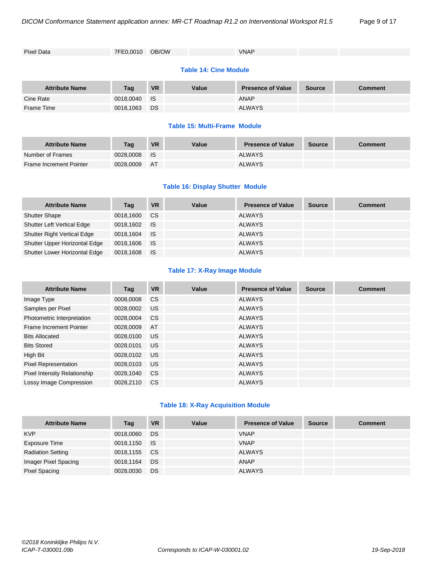| <b>Pixel Data</b> | 7FE0.0010 OB/OW | <b>VNAP</b> |  |
|-------------------|-----------------|-------------|--|

#### **Table 14: Cine Module**

| <b>Attribute Name</b> | <b>Tag</b> | <b>VR</b> | Value | <b>Presence of Value</b> | <b>Source</b> | <b>Comment</b> |
|-----------------------|------------|-----------|-------|--------------------------|---------------|----------------|
| Cine Rate             | 0018.0040  | <b>IS</b> |       | <b>ANAP</b>              |               |                |
| Frame Time            | 0018,1063  | DS.       |       | <b>ALWAYS</b>            |               |                |

#### **Table 15: Multi-Frame Module**

| <b>Attribute Name</b>          | Taq       | <b>VR</b> | Value | <b>Presence of Value</b> | <b>Source</b> | Comment |
|--------------------------------|-----------|-----------|-------|--------------------------|---------------|---------|
| Number of Frames               | 0028.0008 | - IS      |       | <b>ALWAYS</b>            |               |         |
| <b>Frame Increment Pointer</b> | 0028,0009 | AT        |       | <b>ALWAYS</b>            |               |         |

#### **Table 16: Display Shutter Module**

| <b>Attribute Name</b>              | Tag          | <b>VR</b> | Value | <b>Presence of Value</b> | <b>Source</b> | <b>Comment</b> |
|------------------------------------|--------------|-----------|-------|--------------------------|---------------|----------------|
| <b>Shutter Shape</b>               | 0018,1600    | <b>CS</b> |       | <b>ALWAYS</b>            |               |                |
| <b>Shutter Left Vertical Edge</b>  | 0018.1602 IS |           |       | <b>ALWAYS</b>            |               |                |
| <b>Shutter Right Vertical Edge</b> | 0018.1604 IS |           |       | ALWAYS                   |               |                |
| Shutter Upper Horizontal Edge      | 0018.1606 IS |           |       | <b>ALWAYS</b>            |               |                |
| Shutter Lower Horizontal Edge      | 0018.1608    | - IS      |       | <b>ALWAYS</b>            |               |                |

#### **Table 17: X-Ray Image Module**

| <b>Attribute Name</b>          | Tag       | <b>VR</b>     | Value | <b>Presence of Value</b> | <b>Source</b> | <b>Comment</b> |
|--------------------------------|-----------|---------------|-------|--------------------------|---------------|----------------|
| Image Type                     | 0008,0008 | <b>CS</b>     |       | <b>ALWAYS</b>            |               |                |
| Samples per Pixel              | 0028.0002 | US.           |       | ALWAYS                   |               |                |
| Photometric Interpretation     | 0028,0004 | <b>CS</b>     |       | <b>ALWAYS</b>            |               |                |
| <b>Frame Increment Pointer</b> | 0028.0009 | AT            |       | <b>ALWAYS</b>            |               |                |
| <b>Bits Allocated</b>          | 0028,0100 | <b>US</b>     |       | <b>ALWAYS</b>            |               |                |
| <b>Bits Stored</b>             | 0028.0101 | US.           |       | ALWAYS                   |               |                |
| High Bit                       | 0028,0102 | <b>US</b>     |       | <b>ALWAYS</b>            |               |                |
| <b>Pixel Representation</b>    | 0028,0103 | US.           |       | <b>ALWAYS</b>            |               |                |
| Pixel Intensity Relationship   | 0028.1040 | <b>CS</b>     |       | <b>ALWAYS</b>            |               |                |
| Lossy Image Compression        | 0028.2110 | <sub>CS</sub> |       | <b>ALWAYS</b>            |               |                |

#### **Table 18: X-Ray Acquisition Module**

| <b>Attribute Name</b>    | Tag       | <b>VR</b> | Value | <b>Presence of Value</b> | <b>Source</b> | <b>Comment</b> |
|--------------------------|-----------|-----------|-------|--------------------------|---------------|----------------|
| <b>KVP</b>               | 0018,0060 | <b>DS</b> |       | <b>VNAP</b>              |               |                |
| Exposure Time            | 0018,1150 | <b>IS</b> |       | <b>VNAP</b>              |               |                |
| <b>Radiation Setting</b> | 0018,1155 | CS.       |       | ALWAYS                   |               |                |
| Imager Pixel Spacing     | 0018,1164 | DS.       |       | ANAP                     |               |                |
| Pixel Spacing            | 0028,0030 | <b>DS</b> |       | <b>ALWAYS</b>            |               |                |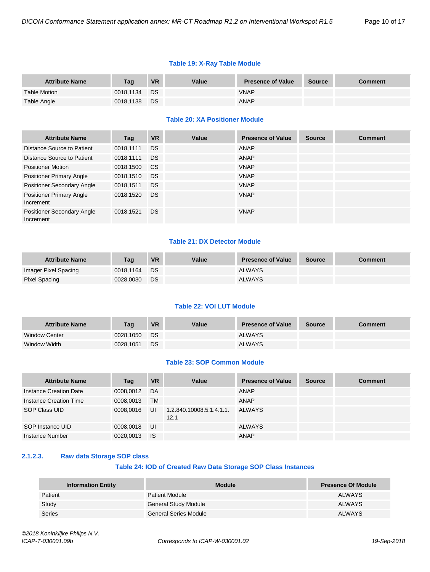#### **Table 19: X-Ray Table Module**

| <b>Attribute Name</b> | Taq          | <b>VR</b> | Value | <b>Presence of Value</b> | <b>Source</b> | <b>Comment</b> |
|-----------------------|--------------|-----------|-------|--------------------------|---------------|----------------|
| <b>Table Motion</b>   | 0018.1134 DS |           |       | <b>VNAP</b>              |               |                |
| Table Angle           | 0018.1138    | <b>DS</b> |       | ANAP                     |               |                |

#### **Table 20: XA Positioner Module**

| <b>Attribute Name</b>                        | Tag       | <b>VR</b>     | Value | <b>Presence of Value</b> | <b>Source</b> | <b>Comment</b> |
|----------------------------------------------|-----------|---------------|-------|--------------------------|---------------|----------------|
| Distance Source to Patient                   | 0018,1111 | <b>DS</b>     |       | ANAP                     |               |                |
| Distance Source to Patient                   | 0018,1111 | <b>DS</b>     |       | <b>ANAP</b>              |               |                |
| <b>Positioner Motion</b>                     | 0018,1500 | <sub>CS</sub> |       | <b>VNAP</b>              |               |                |
| <b>Positioner Primary Angle</b>              | 0018,1510 | <b>DS</b>     |       | <b>VNAP</b>              |               |                |
| Positioner Secondary Angle                   | 0018,1511 | <b>DS</b>     |       | <b>VNAP</b>              |               |                |
| <b>Positioner Primary Angle</b><br>Increment | 0018,1520 | <b>DS</b>     |       | <b>VNAP</b>              |               |                |
| Positioner Secondary Angle<br>Increment      | 0018,1521 | <b>DS</b>     |       | <b>VNAP</b>              |               |                |

#### **Table 21: DX Detector Module**

| <b>Attribute Name</b> | Taq       | <b>VR</b> | Value | <b>Presence of Value</b> | Source | Comment |
|-----------------------|-----------|-----------|-------|--------------------------|--------|---------|
| Imager Pixel Spacing  | 0018.1164 | - DS      |       | <b>ALWAYS</b>            |        |         |
| Pixel Spacing         | 0028.0030 | DS        |       | <b>ALWAYS</b>            |        |         |

#### **Table 22: VOI LUT Module**

| <b>Attribute Name</b> | Taq       | <b>VR</b> | Value | <b>Presence of Value</b> | <b>Source</b> | <b>Comment</b> |
|-----------------------|-----------|-----------|-------|--------------------------|---------------|----------------|
| <b>Window Center</b>  | 0028.1050 | DS        |       | <b>ALWAYS</b>            |               |                |
| Window Width          | 0028.1051 | DS        |       | <b>ALWAYS</b>            |               |                |

#### **Table 23: SOP Common Module**

| <b>Attribute Name</b>  | Tag       | <b>VR</b> | Value                            | <b>Presence of Value</b> | <b>Source</b> | <b>Comment</b> |
|------------------------|-----------|-----------|----------------------------------|--------------------------|---------------|----------------|
| Instance Creation Date | 0008.0012 | DA        |                                  | ANAP                     |               |                |
| Instance Creation Time | 0008.0013 | <b>TM</b> |                                  | ANAP                     |               |                |
| SOP Class UID          | 0008,0016 | UI        | 1.2.840.10008.5.1.4.1.1.<br>12.1 | <b>ALWAYS</b>            |               |                |
| SOP Instance UID       | 0008,0018 | UI        |                                  | <b>ALWAYS</b>            |               |                |
| Instance Number        | 0020,0013 | <b>IS</b> |                                  | ANAP                     |               |                |

#### <span id="page-9-0"></span>**2.1.2.3. Raw data Storage SOP class**

#### **Table 24: IOD of Created Raw Data Storage SOP Class Instances**

| <b>Information Entity</b> | <b>Module</b>               | <b>Presence Of Module</b> |
|---------------------------|-----------------------------|---------------------------|
| Patient                   | <b>Patient Module</b>       | <b>ALWAYS</b>             |
| Study                     | <b>General Study Module</b> | <b>ALWAYS</b>             |
| Series                    | General Series Module       | ALWAYS                    |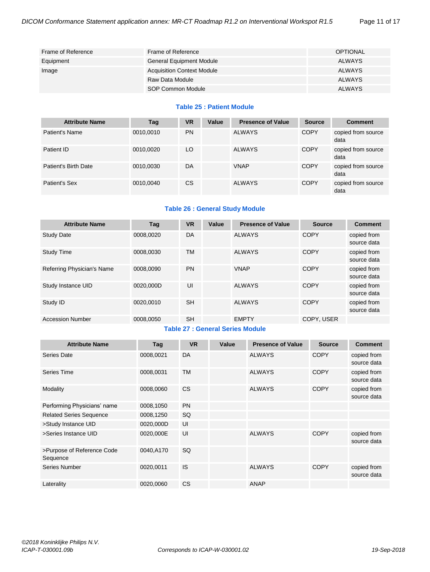| Frame of Reference | Frame of Reference                | <b>OPTIONAL</b> |
|--------------------|-----------------------------------|-----------------|
| Equipment          | <b>General Equipment Module</b>   | ALWAYS          |
| Image              | <b>Acquisition Context Module</b> | ALWAYS          |
|                    | Raw Data Module                   | ALWAYS          |
|                    | SOP Common Module                 | <b>ALWAYS</b>   |

#### **Table 25 : Patient Module**

| <b>Attribute Name</b> | Tag       | <b>VR</b> | Value | <b>Presence of Value</b> | <b>Source</b> | <b>Comment</b>             |
|-----------------------|-----------|-----------|-------|--------------------------|---------------|----------------------------|
| Patient's Name        | 0010,0010 | <b>PN</b> |       | <b>ALWAYS</b>            | <b>COPY</b>   | copied from source<br>data |
| Patient ID            | 0010,0020 | LO        |       | <b>ALWAYS</b>            | <b>COPY</b>   | copied from source<br>data |
| Patient's Birth Date  | 0010,0030 | DA        |       | <b>VNAP</b>              | <b>COPY</b>   | copied from source<br>data |
| Patient's Sex         | 0010,0040 | <b>CS</b> |       | <b>ALWAYS</b>            | <b>COPY</b>   | copied from source<br>data |

#### **Table 26 : General Study Module**

| <b>Attribute Name</b>      | Tag       | <b>VR</b> | Value | <b>Presence of Value</b> | <b>Source</b> | <b>Comment</b>             |
|----------------------------|-----------|-----------|-------|--------------------------|---------------|----------------------------|
| <b>Study Date</b>          | 0008.0020 | DA        |       | <b>ALWAYS</b>            | <b>COPY</b>   | copied from<br>source data |
| <b>Study Time</b>          | 0008,0030 | <b>TM</b> |       | <b>ALWAYS</b>            | <b>COPY</b>   | copied from<br>source data |
| Referring Physician's Name | 0008.0090 | <b>PN</b> |       | <b>VNAP</b>              | <b>COPY</b>   | copied from<br>source data |
| Study Instance UID         | 0020.000D | UI        |       | <b>ALWAYS</b>            | <b>COPY</b>   | copied from<br>source data |
| Study ID                   | 0020.0010 | <b>SH</b> |       | <b>ALWAYS</b>            | <b>COPY</b>   | copied from<br>source data |
| <b>Accession Number</b>    | 0008,0050 | <b>SH</b> |       | <b>EMPTY</b>             | COPY, USER    |                            |

#### **Table 27 : General Series Module**

| <b>Attribute Name</b>                  | Tag       | <b>VR</b> | Value | <b>Presence of Value</b> | <b>Source</b> | <b>Comment</b>             |
|----------------------------------------|-----------|-----------|-------|--------------------------|---------------|----------------------------|
| Series Date                            | 0008,0021 | <b>DA</b> |       | <b>ALWAYS</b>            | <b>COPY</b>   | copied from<br>source data |
| Series Time                            | 0008,0031 | ТM        |       | <b>ALWAYS</b>            | <b>COPY</b>   | copied from<br>source data |
| Modality                               | 0008,0060 | <b>CS</b> |       | <b>ALWAYS</b>            | <b>COPY</b>   | copied from<br>source data |
| Performing Physicians' name            | 0008,1050 | <b>PN</b> |       |                          |               |                            |
| <b>Related Series Sequence</b>         | 0008,1250 | SQ        |       |                          |               |                            |
| >Study Instance UID                    | 0020,000D | UI        |       |                          |               |                            |
| >Series Instance UID                   | 0020,000E | UI        |       | <b>ALWAYS</b>            | <b>COPY</b>   | copied from<br>source data |
| >Purpose of Reference Code<br>Sequence | 0040,A170 | <b>SQ</b> |       |                          |               |                            |
| Series Number                          | 0020,0011 | IS        |       | <b>ALWAYS</b>            | <b>COPY</b>   | copied from<br>source data |
| Laterality                             | 0020,0060 | <b>CS</b> |       | <b>ANAP</b>              |               |                            |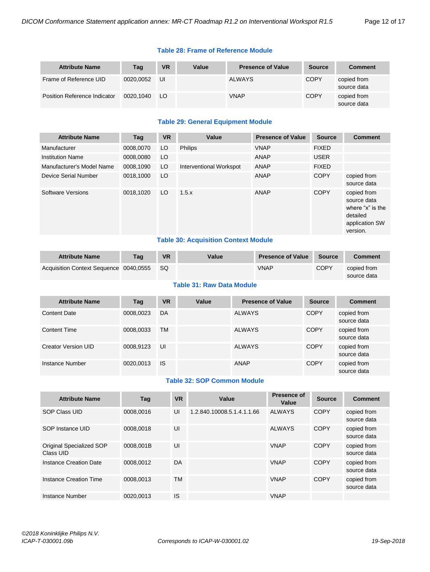#### **Table 28: Frame of Reference Module**

| <b>Attribute Name</b>               | Tag       | <b>VR</b> | Value | <b>Presence of Value</b> | <b>Source</b> | <b>Comment</b>             |
|-------------------------------------|-----------|-----------|-------|--------------------------|---------------|----------------------------|
| Frame of Reference UID              | 0020.0052 | UI        |       | <b>ALWAYS</b>            | <b>COPY</b>   | copied from<br>source data |
| <b>Position Reference Indicator</b> | 0020.1040 | LO        |       | <b>VNAP</b>              | <b>COPY</b>   | copied from<br>source data |

#### **Table 29: General Equipment Module**

| <b>Attribute Name</b>     | Tag       | <b>VR</b> | Value                   | <b>Presence of Value</b> | <b>Source</b> | <b>Comment</b>                                                                           |
|---------------------------|-----------|-----------|-------------------------|--------------------------|---------------|------------------------------------------------------------------------------------------|
| Manufacturer              | 0008,0070 | LO        | <b>Philips</b>          | <b>VNAP</b>              | <b>FIXED</b>  |                                                                                          |
| <b>Institution Name</b>   | 0008.0080 | LO        |                         | ANAP                     | <b>USER</b>   |                                                                                          |
| Manufacturer's Model Name | 0008,1090 | LO        | Interventional Workspot | ANAP                     | <b>FIXED</b>  |                                                                                          |
| Device Serial Number      | 0018,1000 | LO        |                         | <b>ANAP</b>              | <b>COPY</b>   | copied from<br>source data                                                               |
| Software Versions         | 0018,1020 | LO        | 1.5.x                   | ANAP                     | <b>COPY</b>   | copied from<br>source data<br>where "x" is the<br>detailed<br>application SW<br>version. |

#### **Table 30: Acquisition Context Module**

| <b>Attribute Name</b>                  | Taq | <b>VR</b> | Value | <b>Presence of Value</b> | Source | <b>Comment</b>             |
|----------------------------------------|-----|-----------|-------|--------------------------|--------|----------------------------|
| Acquisition Context Sequence 0040,0555 |     | -SQ       |       | <b>VNAP</b>              | COPY   | copied from<br>source data |

#### **Table 31: Raw Data Module**

| <b>Attribute Name</b> | Tag       | <b>VR</b> | Value | <b>Presence of Value</b> | <b>Source</b> | <b>Comment</b>             |
|-----------------------|-----------|-----------|-------|--------------------------|---------------|----------------------------|
| <b>Content Date</b>   | 0008,0023 | DA        |       | <b>ALWAYS</b>            | <b>COPY</b>   | copied from<br>source data |
| <b>Content Time</b>   | 0008,0033 | <b>TM</b> |       | <b>ALWAYS</b>            | <b>COPY</b>   | copied from<br>source data |
| Creator Version UID   | 0008.9123 | UI        |       | <b>ALWAYS</b>            | <b>COPY</b>   | copied from<br>source data |
| Instance Number       | 0020.0013 | <b>IS</b> |       | ANAP                     | <b>COPY</b>   | copied from<br>source data |

#### **Table 32: SOP Common Module**

| <b>Attribute Name</b>                 | Tag       | <b>VR</b> | Value                      | <b>Presence of</b><br>Value | <b>Source</b> | <b>Comment</b>             |
|---------------------------------------|-----------|-----------|----------------------------|-----------------------------|---------------|----------------------------|
| <b>SOP Class UID</b>                  | 0008.0016 | UI        | 1.2.840.10008.5.1.4.1.1.66 | ALWAYS                      | <b>COPY</b>   | copied from<br>source data |
| SOP Instance UID                      | 0008.0018 | UI        |                            | ALWAYS                      | <b>COPY</b>   | copied from<br>source data |
| Original Specialized SOP<br>Class UID | 0008.001B | UI        |                            | <b>VNAP</b>                 | <b>COPY</b>   | copied from<br>source data |
| Instance Creation Date                | 0008,0012 | DA        |                            | <b>VNAP</b>                 | <b>COPY</b>   | copied from<br>source data |
| Instance Creation Time                | 0008.0013 | TM        |                            | <b>VNAP</b>                 | <b>COPY</b>   | copied from<br>source data |
| Instance Number                       | 0020.0013 | IS        |                            | <b>VNAP</b>                 |               |                            |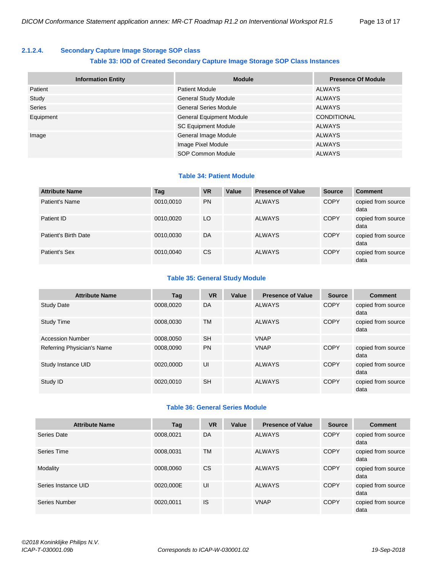#### <span id="page-12-0"></span>**2.1.2.4. Secondary Capture Image Storage SOP class**

#### **Table 33: IOD of Created Secondary Capture Image Storage SOP Class Instances**

| <b>Information Entity</b> | <b>Module</b>                   | <b>Presence Of Module</b> |
|---------------------------|---------------------------------|---------------------------|
| Patient                   | <b>Patient Module</b>           | ALWAYS                    |
| Study                     | <b>General Study Module</b>     | ALWAYS                    |
| <b>Series</b>             | <b>General Series Module</b>    | ALWAYS                    |
| Equipment                 | <b>General Equipment Module</b> | CONDITIONAL               |
|                           | <b>SC Equipment Module</b>      | ALWAYS                    |
| Image                     | General Image Module            | ALWAYS                    |
|                           | Image Pixel Module              | <b>ALWAYS</b>             |
|                           | SOP Common Module               | <b>ALWAYS</b>             |

#### **Table 34: Patient Module**

| <b>Attribute Name</b> | Tag       | <b>VR</b> | Value | <b>Presence of Value</b> | <b>Source</b> | <b>Comment</b>             |
|-----------------------|-----------|-----------|-------|--------------------------|---------------|----------------------------|
| Patient's Name        | 0010,0010 | <b>PN</b> |       | <b>ALWAYS</b>            | <b>COPY</b>   | copied from source<br>data |
| Patient ID            | 0010.0020 | LO        |       | <b>ALWAYS</b>            | <b>COPY</b>   | copied from source<br>data |
| Patient's Birth Date  | 0010,0030 | DA        |       | <b>ALWAYS</b>            | <b>COPY</b>   | copied from source<br>data |
| Patient's Sex         | 0010,0040 | <b>CS</b> |       | <b>ALWAYS</b>            | <b>COPY</b>   | copied from source<br>data |

#### **Table 35: General Study Module**

| <b>Attribute Name</b>      | Tag       | <b>VR</b> | Value | <b>Presence of Value</b> | <b>Source</b> | <b>Comment</b>             |
|----------------------------|-----------|-----------|-------|--------------------------|---------------|----------------------------|
| <b>Study Date</b>          | 0008,0020 | DA        |       | <b>ALWAYS</b>            | <b>COPY</b>   | copied from source<br>data |
| <b>Study Time</b>          | 0008.0030 | <b>TM</b> |       | <b>ALWAYS</b>            | <b>COPY</b>   | copied from source<br>data |
| <b>Accession Number</b>    | 0008.0050 | <b>SH</b> |       | <b>VNAP</b>              |               |                            |
| Referring Physician's Name | 0008,0090 | <b>PN</b> |       | <b>VNAP</b>              | <b>COPY</b>   | copied from source<br>data |
| Study Instance UID         | 0020.000D | UI        |       | <b>ALWAYS</b>            | <b>COPY</b>   | copied from source<br>data |
| Study ID                   | 0020.0010 | <b>SH</b> |       | <b>ALWAYS</b>            | <b>COPY</b>   | copied from source<br>data |

#### **Table 36: General Series Module**

| <b>Attribute Name</b> | Tag       | <b>VR</b> | Value | <b>Presence of Value</b> | <b>Source</b> | <b>Comment</b>             |
|-----------------------|-----------|-----------|-------|--------------------------|---------------|----------------------------|
| Series Date           | 0008,0021 | DA        |       | <b>ALWAYS</b>            | <b>COPY</b>   | copied from source<br>data |
| Series Time           | 0008,0031 | TM        |       | <b>ALWAYS</b>            | <b>COPY</b>   | copied from source<br>data |
| Modality              | 0008,0060 | <b>CS</b> |       | <b>ALWAYS</b>            | <b>COPY</b>   | copied from source<br>data |
| Series Instance UID   | 0020,000E | UI        |       | <b>ALWAYS</b>            | <b>COPY</b>   | copied from source<br>data |
| Series Number         | 0020,0011 | IS        |       | <b>VNAP</b>              | <b>COPY</b>   | copied from source<br>data |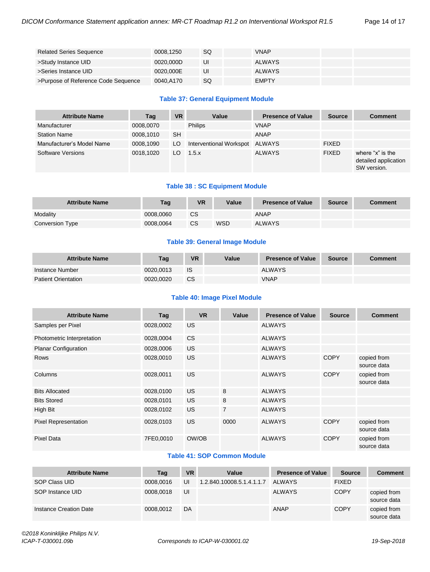| <b>Related Series Sequence</b>      | 0008.1250 | SQ | <b>VNAP</b>  |  |
|-------------------------------------|-----------|----|--------------|--|
| >Study Instance UID                 | 0020.000D | UI | ALWAYS       |  |
| >Series Instance UID                | 0020.000E | UI | ALWAYS       |  |
| >Purpose of Reference Code Sequence | 0040.A170 | SQ | <b>EMPTY</b> |  |

#### **Table 37: General Equipment Module**

| <b>Attribute Name</b>     | Tag       | <b>VR</b> | Value                          | <b>Presence of Value</b> | <b>Source</b> | <b>Comment</b>                                          |
|---------------------------|-----------|-----------|--------------------------------|--------------------------|---------------|---------------------------------------------------------|
| Manufacturer              | 0008,0070 |           | <b>Philips</b>                 | <b>VNAP</b>              |               |                                                         |
| <b>Station Name</b>       | 0008,1010 | <b>SH</b> |                                | <b>ANAP</b>              |               |                                                         |
| Manufacturer's Model Name | 0008.1090 | LO.       | Interventional Workspot ALWAYS |                          | <b>FIXED</b>  |                                                         |
| Software Versions         | 0018.1020 | LO.       | 1.5.x                          | <b>ALWAYS</b>            | <b>FIXED</b>  | where "x" is the<br>detailed application<br>SW version. |

#### **Table 38 : SC Equipment Module**

| <b>Attribute Name</b> | Tag       | <b>VR</b> | Value | <b>Presence of Value</b> | <b>Source</b> | <b>Comment</b> |
|-----------------------|-----------|-----------|-------|--------------------------|---------------|----------------|
| Modality              | 0008.0060 | <b>CS</b> |       | ANAP                     |               |                |
| Conversion Type       | 0008.0064 | <b>CS</b> | WSD   | <b>ALWAYS</b>            |               |                |

#### **Table 39: General Image Module**

| <b>Attribute Name</b>      | Tag       | <b>VR</b> | Value | <b>Presence of Value</b> | <b>Source</b> | <b>Comment</b> |
|----------------------------|-----------|-----------|-------|--------------------------|---------------|----------------|
| Instance Number            | 0020.0013 | IS        |       | <b>ALWAYS</b>            |               |                |
| <b>Patient Orientation</b> | 0020.0020 | <b>CS</b> |       | <b>VNAP</b>              |               |                |

#### **Table 40: Image Pixel Module**

| <b>Attribute Name</b>       | Tag       | <b>VR</b> | Value          | <b>Presence of Value</b> | <b>Source</b> | <b>Comment</b>             |
|-----------------------------|-----------|-----------|----------------|--------------------------|---------------|----------------------------|
| Samples per Pixel           | 0028,0002 | US.       |                | <b>ALWAYS</b>            |               |                            |
| Photometric Interpretation  | 0028,0004 | CS.       |                | <b>ALWAYS</b>            |               |                            |
| <b>Planar Configuration</b> | 0028,0006 | US.       |                | <b>ALWAYS</b>            |               |                            |
| <b>Rows</b>                 | 0028,0010 | US.       |                | <b>ALWAYS</b>            | <b>COPY</b>   | copied from<br>source data |
| Columns                     | 0028,0011 | US.       |                | <b>ALWAYS</b>            | <b>COPY</b>   | copied from<br>source data |
| <b>Bits Allocated</b>       | 0028,0100 | US.       | 8              | <b>ALWAYS</b>            |               |                            |
| <b>Bits Stored</b>          | 0028,0101 | US.       | 8              | <b>ALWAYS</b>            |               |                            |
| High Bit                    | 0028,0102 | US.       | $\overline{7}$ | <b>ALWAYS</b>            |               |                            |
| <b>Pixel Representation</b> | 0028,0103 | US.       | 0000           | <b>ALWAYS</b>            | <b>COPY</b>   | copied from<br>source data |
| <b>Pixel Data</b>           | 7FE0,0010 | OW/OB     |                | <b>ALWAYS</b>            | <b>COPY</b>   | copied from<br>source data |

#### **Table 41: SOP Common Module**

| <b>Attribute Name</b>  | Tag       | <b>VR</b> | Value                     | <b>Presence of Value</b> | <b>Source</b> | <b>Comment</b>             |
|------------------------|-----------|-----------|---------------------------|--------------------------|---------------|----------------------------|
| SOP Class UID          | 0008.0016 | UI        | 1.2.840.10008.5.1.4.1.1.7 | <b>ALWAYS</b>            | <b>FIXED</b>  |                            |
| SOP Instance UID       | 0008.0018 | UI        |                           | <b>ALWAYS</b>            | <b>COPY</b>   | copied from<br>source data |
| Instance Creation Date | 0008.0012 | DA        |                           | <b>ANAP</b>              | <b>COPY</b>   | copied from<br>source data |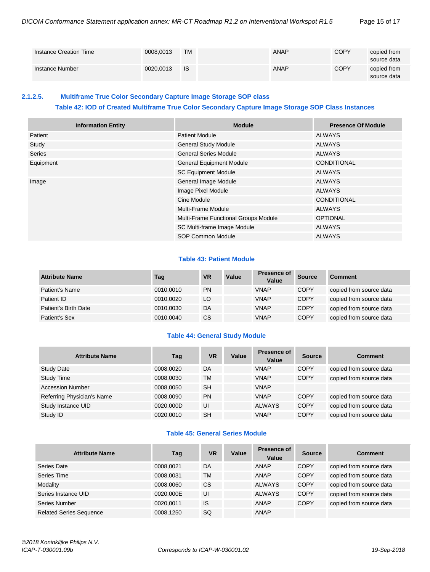| Instance Creation Time | 0008.0013 | TM   | <b>ANAP</b> | COPY        | copied from<br>source data |
|------------------------|-----------|------|-------------|-------------|----------------------------|
| Instance Number        | 0020.0013 | - IS | <b>ANAP</b> | <b>COPY</b> | copied from<br>source data |

#### <span id="page-14-0"></span>**2.1.2.5. Multiframe True Color Secondary Capture Image Storage SOP class**

#### **Table 42: IOD of Created Multiframe True Color Secondary Capture Image Storage SOP Class Instances**

| <b>Information Entity</b> | <b>Module</b>                        | <b>Presence Of Module</b> |
|---------------------------|--------------------------------------|---------------------------|
| Patient                   | <b>Patient Module</b>                | ALWAYS                    |
| Study                     | <b>General Study Module</b>          | ALWAYS                    |
| <b>Series</b>             | <b>General Series Module</b>         | ALWAYS                    |
| Equipment                 | <b>General Equipment Module</b>      | <b>CONDITIONAL</b>        |
|                           | <b>SC Equipment Module</b>           | ALWAYS                    |
| Image                     | General Image Module                 | ALWAYS                    |
|                           | Image Pixel Module                   | <b>ALWAYS</b>             |
|                           | Cine Module                          | <b>CONDITIONAL</b>        |
|                           | Multi-Frame Module                   | ALWAYS                    |
|                           | Multi-Frame Functional Groups Module | <b>OPTIONAL</b>           |
|                           | SC Multi-frame Image Module          | ALWAYS                    |
|                           | SOP Common Module                    | <b>ALWAYS</b>             |

#### **Table 43: Patient Module**

| <b>Attribute Name</b> | Tag       | <b>VR</b> | Value | <b>Presence of</b><br>Value | <b>Source</b> | <b>Comment</b>          |
|-----------------------|-----------|-----------|-------|-----------------------------|---------------|-------------------------|
| Patient's Name        | 0010,0010 | <b>PN</b> |       | VNAP                        | <b>COPY</b>   | copied from source data |
| Patient ID            | 0010,0020 | LO        |       | <b>VNAP</b>                 | <b>COPY</b>   | copied from source data |
| Patient's Birth Date  | 0010,0030 | DA        |       | <b>VNAP</b>                 | <b>COPY</b>   | copied from source data |
| Patient's Sex         | 0010,0040 | CS        |       | <b>VNAP</b>                 | <b>COPY</b>   | copied from source data |

#### **Table 44: General Study Module**

| <b>Attribute Name</b>      | Tag       | <b>VR</b> | Value | <b>Presence of</b><br>Value | <b>Source</b> | <b>Comment</b>          |
|----------------------------|-----------|-----------|-------|-----------------------------|---------------|-------------------------|
| <b>Study Date</b>          | 0008,0020 | DA        |       | <b>VNAP</b>                 | <b>COPY</b>   | copied from source data |
| <b>Study Time</b>          | 0008,0030 | TM        |       | <b>VNAP</b>                 | <b>COPY</b>   | copied from source data |
| <b>Accession Number</b>    | 0008,0050 | <b>SH</b> |       | <b>VNAP</b>                 |               |                         |
| Referring Physician's Name | 0008,0090 | <b>PN</b> |       | <b>VNAP</b>                 | <b>COPY</b>   | copied from source data |
| Study Instance UID         | 0020,000D | UI        |       | <b>ALWAYS</b>               | <b>COPY</b>   | copied from source data |
| Study ID                   | 0020,0010 | <b>SH</b> |       | <b>VNAP</b>                 | <b>COPY</b>   | copied from source data |

#### **Table 45: General Series Module**

| <b>Attribute Name</b>          | Tag       | VR        | Value | <b>Presence of</b><br>Value | <b>Source</b> | <b>Comment</b>          |
|--------------------------------|-----------|-----------|-------|-----------------------------|---------------|-------------------------|
| Series Date                    | 0008,0021 | DA        |       | ANAP                        | <b>COPY</b>   | copied from source data |
| Series Time                    | 0008.0031 | <b>TM</b> |       | ANAP                        | <b>COPY</b>   | copied from source data |
| Modality                       | 0008,0060 | CS        |       | <b>ALWAYS</b>               | <b>COPY</b>   | copied from source data |
| Series Instance UID            | 0020,000E | UI        |       | <b>ALWAYS</b>               | <b>COPY</b>   | copied from source data |
| Series Number                  | 0020,0011 | <b>IS</b> |       | <b>ANAP</b>                 | <b>COPY</b>   | copied from source data |
| <b>Related Series Sequence</b> | 0008,1250 | <b>SQ</b> |       | <b>ANAP</b>                 |               |                         |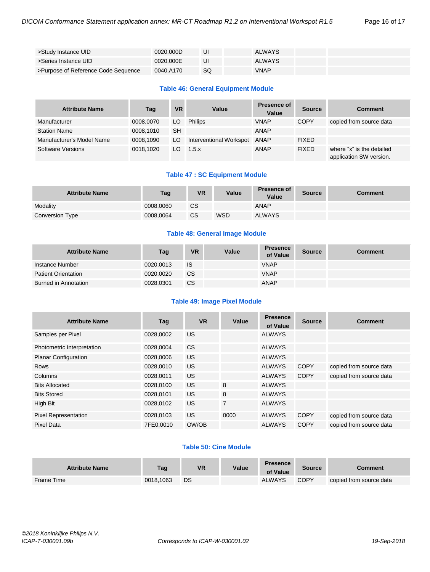| >Study Instance UID                 | 0020.000D | UI | <b>ALWAYS</b> |  |
|-------------------------------------|-----------|----|---------------|--|
| >Series Instance UID                | 0020.000E | UI | <b>ALWAYS</b> |  |
| >Purpose of Reference Code Sequence | 0040.A170 | SQ | <b>VNAP</b>   |  |

#### **Table 46: General Equipment Module**

| <b>Attribute Name</b>     | Tag       | <b>VR</b> | Value                   | <b>Presence of</b><br>Value | <b>Source</b> | <b>Comment</b>                                       |
|---------------------------|-----------|-----------|-------------------------|-----------------------------|---------------|------------------------------------------------------|
| Manufacturer              | 0008.0070 | LO        | <b>Philips</b>          | <b>VNAP</b>                 | <b>COPY</b>   | copied from source data                              |
| <b>Station Name</b>       | 0008.1010 | <b>SH</b> |                         | ANAP                        |               |                                                      |
| Manufacturer's Model Name | 0008.1090 | LO        | Interventional Workspot | ANAP                        | <b>FIXED</b>  |                                                      |
| Software Versions         | 0018.1020 | LO.       | 1.5.x                   | <b>ANAP</b>                 | <b>FIXED</b>  | where "x" is the detailed<br>application SW version. |

#### **Table 47 : SC Equipment Module**

| <b>Attribute Name</b> | Tag       | <b>VR</b> | Value      | <b>Presence of</b><br><b>Value</b> | Source | Comment |
|-----------------------|-----------|-----------|------------|------------------------------------|--------|---------|
| Modality              | 0008.0060 | <b>CS</b> |            | ANAP                               |        |         |
| Conversion Type       | 0008.0064 | <b>CS</b> | <b>WSD</b> | <b>ALWAYS</b>                      |        |         |

#### **Table 48: General Image Module**

| <b>Attribute Name</b>      | Tag       | VR            | Value | <b>Presence</b><br>of Value | <b>Source</b> | Comment |
|----------------------------|-----------|---------------|-------|-----------------------------|---------------|---------|
| Instance Number            | 0020.0013 | <b>IS</b>     |       | <b>VNAP</b>                 |               |         |
| <b>Patient Orientation</b> | 0020.0020 | <sub>CS</sub> |       | <b>VNAP</b>                 |               |         |
| Burned in Annotation       | 0028.0301 | <b>CS</b>     |       | <b>ANAP</b>                 |               |         |

#### **Table 49: Image Pixel Module**

| <b>Attribute Name</b>       | Tag       | <b>VR</b> | Value          | <b>Presence</b><br>of Value | <b>Source</b> | <b>Comment</b>          |
|-----------------------------|-----------|-----------|----------------|-----------------------------|---------------|-------------------------|
| Samples per Pixel           | 0028,0002 | US        |                | <b>ALWAYS</b>               |               |                         |
| Photometric Interpretation  | 0028,0004 | CS.       |                | <b>ALWAYS</b>               |               |                         |
| <b>Planar Configuration</b> | 0028,0006 | US.       |                | <b>ALWAYS</b>               |               |                         |
| Rows                        | 0028,0010 | US.       |                | <b>ALWAYS</b>               | <b>COPY</b>   | copied from source data |
| Columns                     | 0028,0011 | US.       |                | <b>ALWAYS</b>               | <b>COPY</b>   | copied from source data |
| <b>Bits Allocated</b>       | 0028,0100 | US        | 8              | <b>ALWAYS</b>               |               |                         |
| <b>Bits Stored</b>          | 0028,0101 | US.       | 8              | <b>ALWAYS</b>               |               |                         |
| High Bit                    | 0028,0102 | US        | $\overline{7}$ | <b>ALWAYS</b>               |               |                         |
| <b>Pixel Representation</b> | 0028.0103 | US.       | 0000           | <b>ALWAYS</b>               | <b>COPY</b>   | copied from source data |
| Pixel Data                  | 7FE0.0010 | OW/OB     |                | <b>ALWAYS</b>               | <b>COPY</b>   | copied from source data |

#### **Table 50: Cine Module**

| <b>Attribute Name</b> | Tag       | <b>VR</b> | Value | <b>Presence</b><br>of Value | Source      | Comment                 |
|-----------------------|-----------|-----------|-------|-----------------------------|-------------|-------------------------|
| Frame Time            | 0018.1063 | DS        |       | <b>ALWAYS</b>               | <b>COPY</b> | copied from source data |